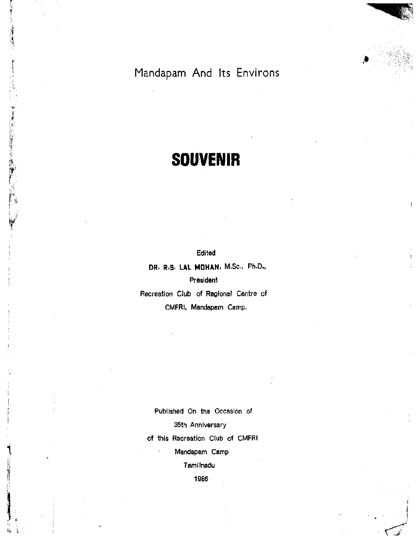Mandapam And Its Environs

## **SOUVENIR**

rr

*•I }*  Edited

**DR. R.S. LAL MOHAN.** M.Sc, Ph.D.,

President

Recreation Club of Regional Centre of CMFRI, Mandapam Camp.

Published On the Occasion of 35th Anniversary of this Recreation Club of CMFRI Mandapam Camp Tamllnadu

1986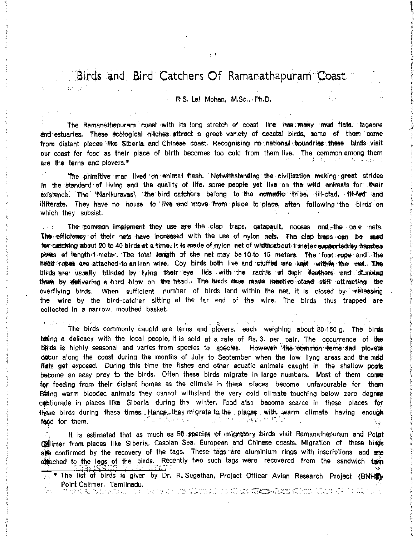## Birds and Bird Catchers Of Ramanathapuram Coast

○ 1 石 登寺 正。

 $\sim$ 

## R.S. Lal Mohan. M.Sc., Ph.D.

The Ramanathapuram coast with its long stretch of coast line thas many mud flats, taggone and estuaries. These ecological nitches attract a great variety of coastal birds, some of them come from distant places fike Siberia and Chinese coast. Recognising no national boundries these birds visit our coast for food as their piace of birth becomes too cold from them live. The common-among them コンパン 化氯乙基苯甲基苯甲基苯基苯基 are the terns and plovers.\*

The primitive man lived on animal flesh. Notwithstanding the civilisation making great strides In the standard of living and the quality of life, some people yet live on the wild animals for their existence. The 'Narikuravas', the bird catchers belong to the nomadic tribe, ill-clad, ill-ted and illiterate. They have no house to live and move from place to place, aften following the birds on which they subsist.

The common implement they use are the clap traps, catapault, nooses and the pole nets.  $\mathbb{Z} \times \mathcal{L} \mathbb{Z}$  . The esticlemay of their nets have increased with the use of nylon nets. The clep traps can be used for catching about 20 to 40 birds at a time. It is made of nylon net of width about 1 meter approxied by barrhop powes of Venoth 1 meter. The total tength of the net may be 10 to 15 meters. The foot rope and the head robes are attached to an fron wire. Coy birds both live and stuffed are heat within the wet. The bleds are usually blinded by tyling their eye. Iids with the nachis of their feathers and stunning them by defivering a hand blow on the head. The birds thus made insictive stand stiff attracting the overflying birds. When sufficient number of birds land within the net, it is closed by releasing the wire by the bird-catcher sitting at the far end of the wire. The birds thus trapped are collected in a narrow, mouthed basket.

The birds commonly caught are terns and plovers, each weighing about 80-150 g. The binds being a delicacy with the local people, it is sold at a rate of Rs. 3. per pair. The occurrence of the birds is highly seasonal and varies from species to species. Howeven the common terms and plovers docur along the coast during the months of July to September when the low livng areas and the mud flats get exposed. During this time the fishes and other aquatic animals caught in the shallow poots become an easy prey to the birds. Often these birds migrate in large numbers. Most of them come for feeding from their distant homes as the climate in these places become unfavourable for them Being warm blooded animals they cannot withstand the very cold climate touching below zero degree contigrade in places like. Siberial during the winter, Food also become scarce in these places for these birds during these times. Hence they migrate to the places with warm climate having enough 『山 きばいちゃく - 1990年10月10日 (高麗野) 地域(Ad faod for them. t e

It is estimated that as much as 50 species of migratory birds visit Ramanathapuram and Point delimer from places like Siberia, Caspian Sea, European and Chinese coasts. Migration of these biads alle confirmed by the recovery of the tags. These tags are aluminium rings with inscriptions and are attached to the legs of the birds. Recently two such tags were recovered from the sandwich tern

\* The list of birds is given by Dr. R. Sugathan, Project Officer Avian Research Project (BNHS) Point Calimer, Tamilnadu. t de difficie d'action de la construction de Carlos de Carlos Control de Constantino (Cinto de Carlos Constant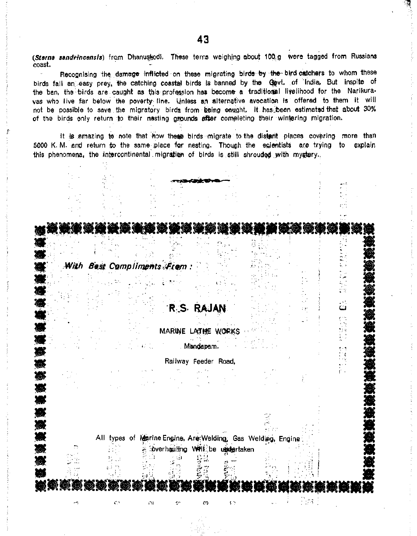(Sterna sandvincensis) from Dhanuskodi. These terns weighing about 100.g were tagged from Russians coast.

Recognising the damage inflicted on these migrating birds by the bird catchers to whom these birds fall an easy prey, the catching coastal birds is banned by the Govt, of India. But inspite of the ban, the birds are caught as this profession has become a traditional livelihood for the Narikurayas who live far below the poverty line. Unless an alternative avocation is offered to them it will not be possible to save the migratory birds from being caught. It has been estimated that about 30% of the birds only return to their nesting grounds after completing their wintering migration.

It is amazing to note that how these birds migrate to the distant places covering more than 5000 K.M. and return to the same place for nesting. Though the scientists are trying to explain this phenomena, the intercontinental migration of birds is still shrouded with mystery.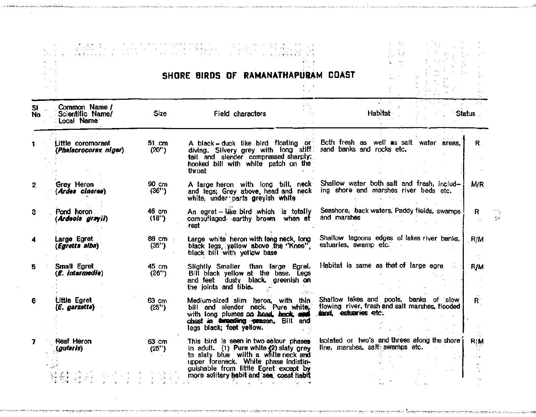|            |                                                 |                  | SHORE BIRDS OF RAMANATHAPURAM COAST                                                                                                                                                                                                                |                                                                                                                                 |
|------------|-------------------------------------------------|------------------|----------------------------------------------------------------------------------------------------------------------------------------------------------------------------------------------------------------------------------------------------|---------------------------------------------------------------------------------------------------------------------------------|
| SI.<br>No. | Common Name /<br>Scientific Name/<br>Local Name | <b>Size</b>      | Field characters                                                                                                                                                                                                                                   | Habitat<br><b>Status</b>                                                                                                        |
|            | Little coromorant<br>(Phalacrocorax niger)      | 51 cm<br>(20")   | A black - duck like bird floating or<br>diving. Silvery grey with long stiff sand banks and rocks etc.<br>tail and slender compressed sharply;<br>hooked bill with white patch on the<br>throat                                                    | Both fresh as well as salt water areas,<br>$\mathsf{R}$ .                                                                       |
| 2          | Grey Heron<br>(Ardea cinerea)                   | 90 cm<br>(36")   | A large heron with long bill, neck<br>and legs; Grey above, head and neck<br>white, under parts greyish white                                                                                                                                      | Shallow water both salt and fresh, includ-<br>M/R<br>ing shore and marshes river beds etc.                                      |
| 3          | Pond heron<br>(Ardeola grayii)                  | 46 cm<br>(18")   | An egret-like bird which is totally<br>computiaged earthy brown when at<br>rest                                                                                                                                                                    | Seashore, back waters, Paddy fields, swamps<br>R<br>and marshes                                                                 |
|            | Large Egret<br>(Egretta alba)                   | 88 cm -<br>(35") | Large white heron with long neck, long<br>black legs, yellow above the "Knee".<br>black bill with yellow base                                                                                                                                      | Shallow lagoons edges of lakes river banks.<br>R/M<br>estuaries, swamp etc.                                                     |
| 5          | Small Egret<br>(E. intermedia)                  | 45 cm<br>(26")   | Slightly Smaller than large Egret.<br>Bill black yellow at the base. Legs<br>and feet dusty black, greenish on<br>the joints and tibia.                                                                                                            | Habitat is same as that of farge egre<br>R/M                                                                                    |
| 6          | <b>Little Egret</b><br>$(E.$ garzetta $)$       | 63 cm<br>(25")   | Medium-sized slim heron, with thin<br>bill and siender neck. Pure white,<br>with long plumes on head, head, and<br>chest in dementing peason. Bill and<br>legs black; feet yellow.                                                                 | Shallow lakes and pools, banks of slow<br>$R^{\circ}$<br>flowing river, fresh and salt marshes, flooded<br>tand, estuaries etc. |
|            | <b>Reaf Heron</b><br>(gularis)                  | 63 cm<br>(25")   | This bird is seen in two colour phases<br>in adult. (1) Pure white (2) slaty grey<br>to slaty blue wiith a white neck and<br>upper foreneck. White phase indistinguishable from little Egret except by<br>more solitary habit and sea, coast habit | Isolated or two's and threes along the shore<br><b>RIM</b><br>line, marshes, salt swamps etc.                                   |

ing. المزم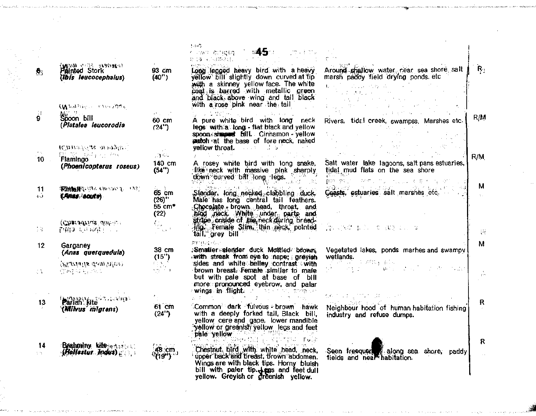|                  |                                                                        |                                                                                    | ਤਾ ਜਾਰ<br>⊧45 —<br>iya a Bibra<br>for an angeg.<br>che compagni                                                                                                                                                                                                             |                                                                                                                                                                                                                                                                                                                                                                                                                                                                                                                                                                                                                                                                                                                                                                                                                                                                                                                                                                                                                                                                                                                                                                                                                                                                        |                |
|------------------|------------------------------------------------------------------------|------------------------------------------------------------------------------------|-----------------------------------------------------------------------------------------------------------------------------------------------------------------------------------------------------------------------------------------------------------------------------|------------------------------------------------------------------------------------------------------------------------------------------------------------------------------------------------------------------------------------------------------------------------------------------------------------------------------------------------------------------------------------------------------------------------------------------------------------------------------------------------------------------------------------------------------------------------------------------------------------------------------------------------------------------------------------------------------------------------------------------------------------------------------------------------------------------------------------------------------------------------------------------------------------------------------------------------------------------------------------------------------------------------------------------------------------------------------------------------------------------------------------------------------------------------------------------------------------------------------------------------------------------------|----------------|
| $\theta_{\rm i}$ | <b>CARALLE ATTA CARABLES</b><br>Painted Stork<br>(This leucocephalus)  | 93 cm<br>(40")                                                                     | Long legged heavy bird with a heavy<br>yellow bill slightly down curved at tip<br>with a skinney yellow face. The white                                                                                                                                                     | si metro<br>Around shallow water rear sea shore salt<br>marsh paddy field drying ponds etc                                                                                                                                                                                                                                                                                                                                                                                                                                                                                                                                                                                                                                                                                                                                                                                                                                                                                                                                                                                                                                                                                                                                                                             | ्दि            |
|                  | (Whather crossforal                                                    |                                                                                    | coat is barred with metallic green<br>and black above wing and tail black<br>with a rose pink near the tail                                                                                                                                                                 | $\begin{split} \mathbf{L}^{\prime} & \left( \mathbf{v}_{1} \right)^{2} = \left( \mathbf{V}_{1,1,1} \right)^{2} \left( \mathbf{V}_{1,1} \mathbf{V}_{2} \right)^{2} \mathbf{V}_{1} \left( \mathbf{v}_{1} \right)^{2} \left( \mathbf{v}_{1} \right)^{2} \mathbf{V}_{2} \left( \mathbf{v}_{1} \right)^{2} \mathbf{V}_{3} \left( \mathbf{v}_{2} \right)^{2} \mathbf{V}_{4} \left( \mathbf{v}_{1} \right)^{2} \mathbf{V}_{5} \left( \mathbf{v}_{2} \right$<br>$\label{eq:2.1} \mathcal{L}^{\mathcal{A}}(\mathcal{A})=\mathcal{L}^{\mathcal{A}}(\mathcal{A})\otimes\mathcal{L}^{\mathcal{A}}(\mathcal{A})\otimes\mathcal{L}^{\mathcal{A}}(\mathcal{A})\otimes\mathcal{L}^{\mathcal{A}}(\mathcal{A})\otimes\mathcal{L}^{\mathcal{A}}(\mathcal{A})\otimes\mathcal{L}^{\mathcal{A}}(\mathcal{A})$<br>$\label{eq:2.1} \frac{1}{\sqrt{2}}\left(\frac{1}{2}\right)^{\frac{1}{2}}\frac{1}{2}\left(\frac{1}{2}\right)^{\frac{1}{2}}\left(\frac{1}{2}\right)^{\frac{1}{2}}\left(\frac{1}{2}\right)^{\frac{1}{2}}\left(\frac{1}{2}\right)^{\frac{1}{2}}\left(\frac{1}{2}\right)^{\frac{1}{2}}\left(\frac{1}{2}\right)^{\frac{1}{2}}\left(\frac{1}{2}\right)^{\frac{1}{2}}\left(\frac{1}{2}\right)^{\frac{1}{2}}\left(\frac{1}{2}\right)^{\frac{1}{2}}\left(\frac{1}{2}\right)^{\frac{1$ |                |
| 9                | Ali<br>Spoon bill<br>(Platalea leucorodia                              | $\mathcal{O}(10^{-10})\cdot 10^7$<br>60 cm<br>(24")                                | A pure white bird with long neck<br>legs with a long - flat black and yellow<br>speon straped bill. Cinnamon - yellow                                                                                                                                                       | $\mathcal{L}^{\text{eff}}(\mathcal{H})$ , and the set of the set of the set of the $\mathcal{L}^{\text{eff}}$<br>Rivers, tidal creek, swampss, Marshes etc.<br>the company                                                                                                                                                                                                                                                                                                                                                                                                                                                                                                                                                                                                                                                                                                                                                                                                                                                                                                                                                                                                                                                                                             | R/M            |
|                  | <b>(Chiradola arright)</b><br>医皮 ゆむしゅ                                  | <b>Contract</b>                                                                    | patch at the base of fore neck, naked<br><b>vellow throat.</b> The contract of the contract of the contract of the contract of the contract of the contract of the contract of the contract of the contract of the contract of the contract of the contract of the contract |                                                                                                                                                                                                                                                                                                                                                                                                                                                                                                                                                                                                                                                                                                                                                                                                                                                                                                                                                                                                                                                                                                                                                                                                                                                                        |                |
| $10 -$           | Flamingo<br>(Phoenicopterus roseus)                                    | 300<br>140 cm<br>(54")                                                             | 第二次 英格兰人<br><b>Service State</b><br>A rosey white bird with long snake,<br>like neck with massive pink sharply                                                                                                                                                              | Salt water lake lagoons, salt pans estuaries,<br>tidal mud flats on the sea shore                                                                                                                                                                                                                                                                                                                                                                                                                                                                                                                                                                                                                                                                                                                                                                                                                                                                                                                                                                                                                                                                                                                                                                                      | R/M            |
| 11<br>458        | <b>ISTAIRE AND ARREST AND INTERNATIONAL PARTY</b><br>(Anus locuto)     | $65$ cm<br>$(26)$ "<br>55 cm*<br>(22)                                              | down durved biff long leps.<br>Slender, long necked clabbling duck.<br>Male has long central tail feathers.<br>Chocolate brown head, throat, and<br>hind rieck. White under parts and                                                                                       | 朝的 24.2% (Article 2010), 2000 (2010), 30%<br>Coasts, estuaries salt marshes etc.                                                                                                                                                                                                                                                                                                                                                                                                                                                                                                                                                                                                                                                                                                                                                                                                                                                                                                                                                                                                                                                                                                                                                                                       | м              |
| 43               | (Charadrius $div \cdot$ :<br><b>្រុំ ស្រុក ស្រុក</b>                   | $\tilde{C}_{\rm{max}}$ .<br>$\frac{1}{2} \frac{d^2}{d^2} \sqrt{3} \frac{d^2}{d^2}$ | stripe onside of the neckduring breed-<br>Jng. Female Stime thin peck, pointed with the company of the state of<br>tail, grey bill                                                                                                                                          |                                                                                                                                                                                                                                                                                                                                                                                                                                                                                                                                                                                                                                                                                                                                                                                                                                                                                                                                                                                                                                                                                                                                                                                                                                                                        | $\mathbb{F}_q$ |
| 12               | Garganey<br>(Anas querquedula)                                         | 38 cm                                                                              | 京集「村屋」のこと<br>Smattersdender duck Mottled brown.                                                                                                                                                                                                                             | Vegetated lakes, ponds marhes and swampy                                                                                                                                                                                                                                                                                                                                                                                                                                                                                                                                                                                                                                                                                                                                                                                                                                                                                                                                                                                                                                                                                                                                                                                                                               | M              |
| 文庫               | (Playalis dum'nive)<br>合成中心 医肌                                         | (15")<br>사실의<br>$\mathcal{N}(\mathcal{P})$ , $\mathcal{P}(\mathcal{P})$            | with streak from eye to nape; greyish<br>sides and white beliey contrast with<br>brown breast. Female similar to male<br>but with pale spot at base of bill<br>more pronounced eyebrow, and palar<br>a wings in flight. The state of the process                            | wetlands.<br>ուս»։<br>Դահ 1 մեկ (մար<br>ທີ່ ທ່າງເກົາໂອກະລາດເລັດເກີດ ການແລ                                                                                                                                                                                                                                                                                                                                                                                                                                                                                                                                                                                                                                                                                                                                                                                                                                                                                                                                                                                                                                                                                                                                                                                              |                |
| 13               | Pariah kite<br>(Milvus migrans)                                        | 61 cm                                                                              | and the process of the con-<br>$\mathbf{z} \in \mathbb{C}^{n \times n}$ .<br>Common dark fulvous brown hawk                                                                                                                                                                 | skin va grman de lucien<br>Neighbour hood of human habitation fishing                                                                                                                                                                                                                                                                                                                                                                                                                                                                                                                                                                                                                                                                                                                                                                                                                                                                                                                                                                                                                                                                                                                                                                                                  | $\mathsf{R}$   |
|                  |                                                                        | (24")                                                                              | with a deeply forked tail, Black bill,<br>yellow cere and gape, lower mandible<br>yellow or greenlsh yellow legs and feet<br>pale yellow Man March                                                                                                                          | industry and refuse dumps.                                                                                                                                                                                                                                                                                                                                                                                                                                                                                                                                                                                                                                                                                                                                                                                                                                                                                                                                                                                                                                                                                                                                                                                                                                             |                |
| 14<br>a rel      | Brahminy kiteranzova<br>$\mathcal{L}$ Hallastur Jodus) $_{\mathbb{C}}$ | 48 cm                                                                              | VIII ФОГАТОРЫН ОНД 3. К. (1972) - ТӨЛӨ<br>Chestnut, bird with white head, neck,<br>upper back and breast, brown abdomen.<br>Wings are with black tips. Horny bluish<br>bill with pater tip. (egs and feet dull<br>yellow. Greyish or greenish yellow.                       | Seen freequent slong sea shore, paddy<br>fields and near habitation.                                                                                                                                                                                                                                                                                                                                                                                                                                                                                                                                                                                                                                                                                                                                                                                                                                                                                                                                                                                                                                                                                                                                                                                                   | R              |

 $\sim$   $\sim$ 

 $\epsilon$ 

والمواري المواليقة والأراد والموالي والمتعارض والمعاقب والمتعاون لأراض والمتوارد

.<br>This non-third making payment of the constitution of the material of the second of the second of the second of the second of the second second second responses the second response to the second response of the second res

 $\sim 1$ 

وأحسام

 $\epsilon$ 

 $\bar{z}$ 

 $\bar{\tau}$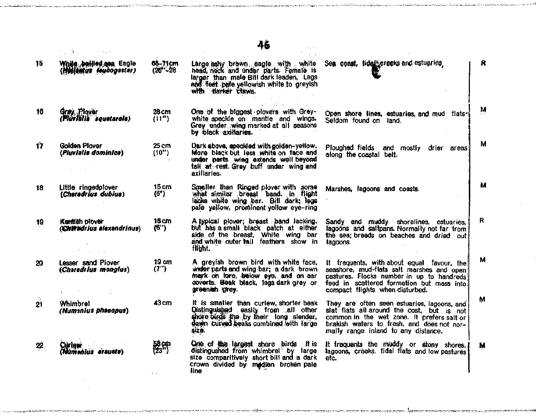| 15  | White bellied are Eagle<br>Hellantus loucogaster) | 66-71cm<br>$(26 - 28)$   | Large ashy brown eagle with white<br>head, neck and under parts. Female is<br>larger than male Bill dark leaden, Legs<br>and feet palle yellowish white to greyish<br>with darker claws. | Sea coast, tidal creeks and estuaries.                                                                                                                                                                                       | R |
|-----|---------------------------------------------------|--------------------------|------------------------------------------------------------------------------------------------------------------------------------------------------------------------------------------|------------------------------------------------------------------------------------------------------------------------------------------------------------------------------------------------------------------------------|---|
| 16  | Gray Ployer<br>(Plúriblia squatarola)             | 28 cm<br>(11")           | One of the biggest plovers with Grey-<br>white speckle on mantle and wings.<br>Grey under wing marked at all seasons<br>by black axiliaries.                                             | Open shore lines, estuaries, and mud flats.<br>Seldom found on land.                                                                                                                                                         | M |
| 17  | <b>Golden Plover</b><br>(Pluvialis dominica)      | 25 cm<br>(10")           | Dark above, specided with golden-yetlow.<br>More black but less white on face and<br>under parts. wing extends well beyond<br>tail at rest. Grey buff under wing and<br>axillaries.      | Ploughed fields and mostly drier areas<br>along the coastal belt.                                                                                                                                                            | M |
| 18  | Little ringedplover<br>(Charadrius dubius)        | 15 cm<br>(6")            | Smaller than Ringed plover with some<br>what similar breast band. In flight<br>lacks white wing bar. Bill dark; legs<br>pale yellow, prominent yellow eye-ring                           | Marshes, lagoons and coasts.                                                                                                                                                                                                 | м |
| 19  | Kentish blover<br>(Chiradrius elexandrinus)       | 16 cm<br>(6")            | A typical plover; breast band lacking.<br>but has a small black patch at either<br>side of the breast, White wing bar<br>and white outer tail feathers show in<br>flight.                | Sandy and muddy shorelines, estuaries,<br>lagoons and saltpans. Normally not far from<br>the sea; breeds on beaches and dried out<br>lagoons.                                                                                | R |
| 20. | <b>Lesser sand Piover</b><br>(Charadrius monglus) | 19 <sub>cm</sub><br>(7") | A greyish brown bird with white face,<br>under parts and wing bar; a dark brown<br>merk on lore, below eye, and on ear<br>coverts. Beak black, legs dark grey or<br>greenish grey.       | It frequents, with about equal favour, the<br>seashore, mud-flats salt marshes and open<br>pastures. Flocks number in up to handreds!<br>feed in scattered formation but mass into.<br>compact flights when disturbed.       | м |
| 21  | Whimbrel<br>(Numanius phaeopus)                   | 43 <sub>cm</sub>         | It is smaller than curlew, shorter beak<br>Distinguished easily from all other<br>shore birds the by their long slender,<br>down curved beaks combined with large<br>size.               | They are often seen estuaries, lagoons, and<br>slat flats all around the cost, but is not<br>common in the wet zone. It prefers salt or<br>brakish waters to fresh, and does not nor-<br>mally range inland to any distance. | м |
| 22  | Namenius erauoto)                                 |                          | One of the largest shore birds It is<br>distingushed from whimbrel" by large<br>size comparitively short bill and a dark<br>crown divided by median broken pale<br>line                  | It frequents the muddy or stony shores,<br>lagoons, creeks, tidal flats and low pastures<br>etc.                                                                                                                             | M |

46

.<br>ساخته شده آسا

**COLLAUTA DIRECTO** 

discovery of the community of the community of the community of the community of the community of the community of the community of the community of the community of the community of the community of the community of the c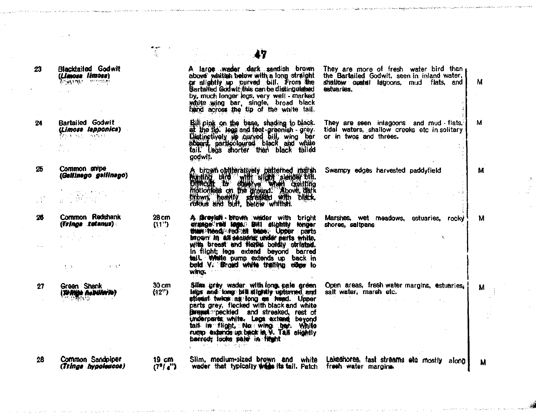|    |                                                                                                                                                                                                                                                                                                                                                                                                                                                                           | ù.                                        |                                                                                                                                                                                                                                                                                                                                                                                   |                                                                                                                                                     |   |
|----|---------------------------------------------------------------------------------------------------------------------------------------------------------------------------------------------------------------------------------------------------------------------------------------------------------------------------------------------------------------------------------------------------------------------------------------------------------------------------|-------------------------------------------|-----------------------------------------------------------------------------------------------------------------------------------------------------------------------------------------------------------------------------------------------------------------------------------------------------------------------------------------------------------------------------------|-----------------------------------------------------------------------------------------------------------------------------------------------------|---|
| 23 | <b>Blacktailed Godwit</b><br>(Limosa limosa)<br><b>Tominus superint</b><br>$\mathcal{L} = \mathcal{L} \mathcal{L}$                                                                                                                                                                                                                                                                                                                                                        |                                           | A large wader dark sandish brown<br>above whitish below with a long straight<br>ge slightly up curved bill. From the<br>Bartailed Godwit this can be distinguished<br>by, much longer legs, very well - marked<br>white wing bar, single, broad black                                                                                                                             | They are more of fresh water bird than $\mu$<br>the Bartailed Godwit, seen in inland water,<br>shallow costs! lagoons, mud flats, and<br>estuaries. | м |
| 24 | <b>Bartailed Godwit</b><br>(Limose lapponica)<br>$\overline{\{c_1, \ldots, c_k\}}$ which<br><b>Carl Store</b>                                                                                                                                                                                                                                                                                                                                                             |                                           | Bill pink on the base, shading to black.<br>at the fip. legs and teet-greenish - grey.<br>Distinctively to curved bill, wing ber<br>absent, particoloured black and white<br>tail, Legs shorter than black tailed<br>godwit.                                                                                                                                                      | They are seen inlagoons and mud flats,<br>tidal waters, shallow creeks etc in solitary<br>or in twos and threes.                                    | м |
| 25 | Common shipe<br>(Gallinego gallinego)<br>$\begin{split} \frac{1}{2\pi} &\leq \frac{2\pi}{3} \frac{1}{2} \frac{1}{\sqrt{3}} \frac{1}{\sqrt{3}} \frac{1}{\sqrt{3}} \frac{1}{\sqrt{3}} \frac{1}{\sqrt{3}} \frac{1}{\sqrt{3}} \frac{1}{\sqrt{3}} \frac{1}{\sqrt{3}} \frac{1}{\sqrt{3}} \frac{1}{\sqrt{3}} \frac{1}{\sqrt{3}} \frac{1}{\sqrt{3}} \frac{1}{\sqrt{3}} \frac{1}{\sqrt{3}} \frac{1}{\sqrt{3}} \frac{1}{\sqrt{3}} \frac{1}{\sqrt{3}} \frac{1}{\sqrt{3}} \frac{1}{\$ |                                           | A brown optiteratively patterned multin<br>Months blid with slight slenger bit.<br>Blitterite to outple ground. Above dark<br>brown, heavily streaked with black,                                                                                                                                                                                                                 | Swampy edges harvested paddyfield                                                                                                                   | м |
| 26 | Common Redshank<br>(Trings tetenus)                                                                                                                                                                                                                                                                                                                                                                                                                                       | $28 \text{ cm}$<br>(11")                  | A Greylan brown wader with bright<br>crange red toge. Bill slightly lenger                                                                                                                                                                                                                                                                                                        | Marshes, wet meadows, estuaries, rocky!<br>shores, saltpans                                                                                         | м |
|    | $\mathcal{A}=\mathcal{B}$ , $\mathcal{A}=\mathcal{A}=\mathcal{A}$ , $\mathcal{B}=\mathcal{B}$ ,<br>$\mathfrak{g}(\mathfrak{g})$ , and $\mathfrak{g}(\mathfrak{g})$ , and $\mathfrak{g}(\mathfrak{g})$                                                                                                                                                                                                                                                                     |                                           | tham head red at base. Upper parts<br>brown in all seasons under parts white.<br>with breast and flashe boldly striated.<br>in flight; legs extend beyond barred<br>tail. White pump extends up back in<br>bold V. Broad white trailing edge to<br>wing.                                                                                                                          |                                                                                                                                                     |   |
| 27 | Green Shank<br>(TO Right Republic to)                                                                                                                                                                                                                                                                                                                                                                                                                                     | $30 \text{ cm}$<br>(12")                  | Silian grey wader with long pale green<br>legs and long bit slightly upturned and<br>atteast twice as fong as head. Upper<br>parts grey, flecked with black and white<br><b>Breast</b> : peckled and streaked, rest of<br>underparts white. Legs extend beyond<br>tail in flight, No wing har. White<br>rump extends up back in N. Tall slightly<br>barred; looks pain in filight | Open areas, fresh water margins, estuaries,<br>salt water, marsh etc.<br>$\mathcal{L} = \mathcal{L} \times \mathcal{L}$ .                           | м |
| 28 | Common Sandpiper<br>(Tringa hypologoos)                                                                                                                                                                                                                                                                                                                                                                                                                                   | 19 cm<br>(7 <sup>n</sup> / <sub>4</sub> ) | wader that typically we its tail. Patch freeh water marging.                                                                                                                                                                                                                                                                                                                      | Slim, medium-sized brown and white Lakeshores, fast streams etc mostly along                                                                        | М |

.<br>In a second experimental policina in a case of the contract of the contract of the contract of the second contract of the contract of the contract of the contract of the contract of the

and a special decision of the construction of the second construction of the context and opposite the company second the company

 $\mathcal{A}^{\mathcal{A}}$ 

 $\sim 10^7$ 

 $\sim 10^7$ 

 $\sim 10^{-4}$ 

.<br>The gravitation of the contract of the state of the state of the state of the state of the state of the state of

أوقاله والمتمان

 $\hat{\mathcal{A}}$ 

 $\begin{array}{c} 0 \\ 0 \\ 0 \\ 0 \end{array}$ 

 $\sim$ 

<u>ang pangangan pang Kabupatèn Si</u>

 $\gamma_{\rm{max}}$  , is a top in the  $\omega$ 

.<br>The construction of the process of the contract of the construction of the contract of the contract of the contract of the contract of the contract of the contract of the contract of the contract of the contract of the c

المتصابين والمستقيل وبالألوان المكاوير وتعويل والأندان المسائح اللاني والمستعادة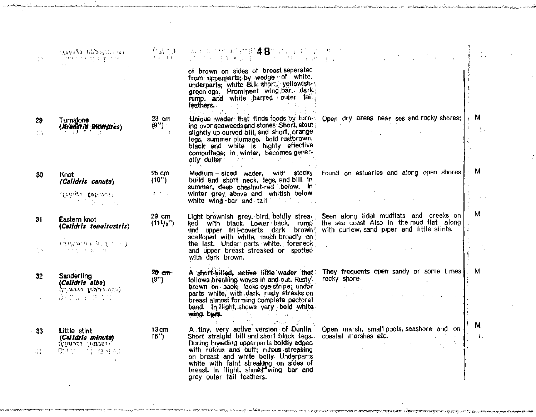| 12.       | example throughout an<br>ាមិននៅស្ថិត ខ្នុំ ស្រុក (Contract)<br>ក្រុម                                                                                                    |                                | - 《結局》 - 本が新地位 呼ば眼本書100に到す100 ポイプ。<br>- 1999年 - 1007年 - 1008年 - 1007年 - 17月 - 17月 - 17月                                                                                                                                                                                                                                                       | $\mathcal{L}^{\text{max}}$ and $\mathcal{L}^{\text{max}}$                                                                                                                                                                                                                                                                                                                                                                                                                                                                                                                                                                                                                                                        | -1.       |
|-----------|-------------------------------------------------------------------------------------------------------------------------------------------------------------------------|--------------------------------|-----------------------------------------------------------------------------------------------------------------------------------------------------------------------------------------------------------------------------------------------------------------------------------------------------------------------------------------------|------------------------------------------------------------------------------------------------------------------------------------------------------------------------------------------------------------------------------------------------------------------------------------------------------------------------------------------------------------------------------------------------------------------------------------------------------------------------------------------------------------------------------------------------------------------------------------------------------------------------------------------------------------------------------------------------------------------|-----------|
|           |                                                                                                                                                                         |                                | of brown on sides of breast seperated<br>from upperparts; by wedge of white,<br>underparts; white Bill, short, yellowish-<br>greenlegs. Prominent wing bar, dark<br>rump, and white parred outer tail,<br>feathers,<br>计加速 医子宫神经<br>$\mathbb{E}_{\mathbf{z}}$ and $\mathbb{E}_{\mathbf{z}}$ and $\mathbb{E}_{\mathbf{z}}$                     |                                                                                                                                                                                                                                                                                                                                                                                                                                                                                                                                                                                                                                                                                                                  |           |
| 29<br>Лħ  | Turnstonel<br>(Arunaria Interpres)                                                                                                                                      | 23 cm<br>(9'')<br>$\mathbf{1}$ | ing over seaweeds and stones Short, stout<br>slightly up curved bill, and short, orange<br>legs, summer plumage, bold rustbrown.<br>black and white is highly effective<br>comouflage; in winter, becomes gener-<br>ally duller<br>so green to some at-<br>in die Ling                                                                        | Unique wader that finds foods by furn-: Open dry areas near ses and rocky shores;                                                                                                                                                                                                                                                                                                                                                                                                                                                                                                                                                                                                                                | , м<br>青玉 |
| 30        | Knot<br>(Calidris canuta)                                                                                                                                               | 25 cm<br>(10")                 | build and short neck, legs, and bill. In<br>summer, deep chestnut-red below. In                                                                                                                                                                                                                                                               | Medium - sized wader, with stocky. Found on estuaries and along open shores                                                                                                                                                                                                                                                                                                                                                                                                                                                                                                                                                                                                                                      | м         |
|           | Trings totales                                                                                                                                                          | $1 - 1 - 1$                    | winter grey above and whitish below<br>white wing bar and tail and the control of the state of the state of the state of the state of the state of the                                                                                                                                                                                        | and the state of the                                                                                                                                                                                                                                                                                                                                                                                                                                                                                                                                                                                                                                                                                             |           |
| 31        | Eastern knot<br>(Calidris tenuirostris)<br>$(\mathcal{F} \in \mathcal{F}, \mathcal{F} \in \mathcal{F}$ and $\mathcal{F} \in \mathcal{F}$<br>ကြက်မှု က <i>ဆ</i> ုပ်ကိုက် | $29 \text{ cm}$<br>(111/2")    | ked with black. Lower back, rump<br>und upper tril-coverts dark brown<br>scalloped with white, much broadly on<br>the last. Under parts white, foreneck<br>and upper breast streaked or spotted<br>with dark brown.                                                                                                                           | Light brownish grey, bird, boldly strea. Seen along tidal mudflats and creeks on<br>the sea coast Also in the mud flat along<br>with curlew, sand piper and little stints.<br>$\sim 10^{-1}$<br>$\mathbf{v} = \left\{ \mathbf{v}_1, \ldots, \mathbf{v}_N \right\}$                                                                                                                                                                                                                                                                                                                                                                                                                                               | м         |
| 32        | Sanderling<br>(Calidris alba)<br><b>(Consequent Books)</b><br>高速度率 总管理                                                                                                  | $20 \text{ cm}$<br>(8")        | A short-billed, active little wader that<br>follows breaking waves in and out. Rusty-<br>brown on back; lacks eye-stripe; under<br>parts white, with dark, rusty streaks on<br>breast almost forming complete pectoral<br>band. In flight, shows very bold white.<br>wing bars.<br>and the first control of the state of                      | They frequents open sandy or some times . M<br>rocky shore. The contract of the contract of the contract of the contract of the contract of the contract of the contract of the contract of the contract of the contract of the contract of the contract of the contract of t<br>الموافق المدار<br>$\mathcal{L}^{\mathcal{L}}(\mathcal{L}^{\mathcal{L}})$ , where $\mathcal{L}^{\mathcal{L}}(\mathcal{L}^{\mathcal{L}})$ , and the set of $\mathcal{L}^{\mathcal{L}}(\mathcal{L}^{\mathcal{L}})$                                                                                                                                                                                                                 |           |
| 33<br>-72 | Little stint<br>(Calidris minuta)<br>Freeung recuny)<br>隐断的 不能 难得 得                                                                                                     | 13 cm<br>15"                   | はるい コンド<br>A tiny, very active version of Dunlin.<br>Short straight bill and short black legs.<br>During breeding upperparts boldly edged.<br>with rufous and buff; rufous streaking<br>on breast and white belly. Underparts<br>white with faint streaking on sides of<br>breast. In flight, shows wing bar and<br>grey outer tail feathers. | Open marsh, small pools, seashore and on-<br>coastal marshes etc. The coastal marshes etc.<br>$\mathcal{L}(\mathcal{L}^{\mathcal{L}})$ , and $\mathcal{L}^{\mathcal{L}}(\mathcal{L}^{\mathcal{L}})$ , where $\mathcal{L}^{\mathcal{L}}$<br>$\label{eq:2.1} \mathcal{L}^{\mathcal{A}}\left(\mathcal{A}^{\mathcal{A}}\right)=\mathcal{L}^{\mathcal{A}}\left(\mathcal{A}^{\mathcal{A}}\right)=\mathcal{L}^{\mathcal{A}}\left(\mathcal{A}^{\mathcal{A}}\right)=\mathcal{L}^{\mathcal{A}}\left(\mathcal{A}^{\mathcal{A}}\right)=\mathcal{L}^{\mathcal{A}}\left(\mathcal{A}^{\mathcal{A}}\right)=\mathcal{L}^{\mathcal{A}}\left(\mathcal{A}^{\mathcal{A}}\right)=\mathcal{L}^{\mathcal{A}}\left(\mathcal{A}^{\mathcal$ | M<br>è.   |

.<br>The fight of the subsequent is a start, and of

.<br>Tanta 1487 Kina at Kabupaten Kabupaten

.<br>Terminen järjen telu van dorf in tyskenskapel ittenskapel van de lands

 $\bullet$ 

÷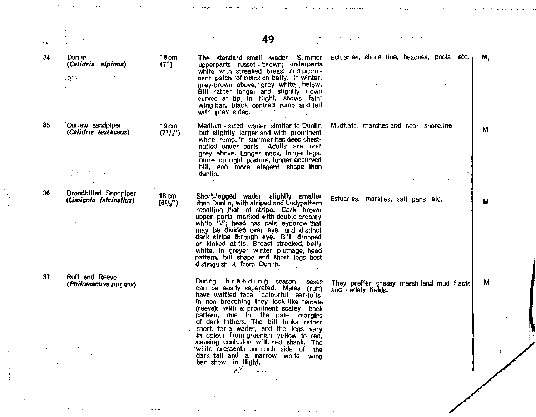| 光尘           |                                                          |                                                     |                                                                                                                                                                                                                                                                                                                                 |                                                                      |
|--------------|----------------------------------------------------------|-----------------------------------------------------|---------------------------------------------------------------------------------------------------------------------------------------------------------------------------------------------------------------------------------------------------------------------------------------------------------------------------------|----------------------------------------------------------------------|
| 34           | Dunlin<br>(Calidris alpinus)                             | 18 <sub>cm</sub><br>(7")                            | The standard small wader. Summer<br>upperparts russet - brown; underparts<br>white with streaked breast and promi-                                                                                                                                                                                                              | Estuaries, shore line, beaches, pools etc.<br>М.                     |
|              | <b>Provide</b><br>$(2)$ ) $-1$<br>process.               |                                                     | nent patch of black on belly. In winter,<br>grey-brown above, grey white below.<br>Bill rather longer and slightly down<br>curved at tip. In flight, shows faint<br>wing bar, black centred rump and tail<br>with grey sides.                                                                                                   |                                                                      |
| 35<br>sta po | Curlew sandpiper<br>(Calidris testaceus)                 | 19cm<br>(7 <sup>1</sup> /2")                        | Medium - sized wader simitar to Dunlin<br>but slightly larger and with prominent<br>white rump. In summer has deep chest-<br>nutled under parts. Adults are dull<br>grey above. Longer neck, longer legs,<br>more up right posture, longer decurved                                                                             | Mudilats, marshes and near shoreline<br>M                            |
|              | 이 아주 아이                                                  |                                                     | bill, and more elegant shape than<br>dunlin.                                                                                                                                                                                                                                                                                    |                                                                      |
| 36           | Broadbilled Sandpiper<br>(Limicola falcinellus)          | $16 \text{ cm}$<br>(6 <sup>1</sup> / <sub>2</sub> ) | Short-legged wader slightly smaller<br>than Dunlin, with striped and bodypattern<br>recalling that of stripe. Dark brown                                                                                                                                                                                                        | Estuaries, marshes, salt pans etc.<br>м                              |
|              |                                                          |                                                     | upper parts marked with double creamy<br>white 'V'; head has pale eyebrow that<br>may be divided over eye, and distinct<br>dark stripe through eye. Bill drooped<br>or kinked at tip. Breast streaked, belly<br>white. In greyer winter plumage, head<br>pattern, bill shape and short legs best<br>distinguish it from Dunlin. |                                                                      |
| 37           | Ruft and Reeve<br>(Philomachus $pu_{\leq}$ n $\alpha$ x) |                                                     | During breeding season<br>sexes<br>can be easily seperated. Males (ruff)<br>have wattled face, colourful ear-tufts.<br>In non breeching they look like female<br>(reeve); with a prominent scaley back                                                                                                                          | M<br>They preffer grassy marsh land mud flacts<br>and padely fields. |
|              |                                                          |                                                     | pattern, due to the pale margins<br>of dark fathers. The bill looks rather<br>short, for a wader, and the legs vary<br>in colour from greenish yellow to red,                                                                                                                                                                   |                                                                      |
|              |                                                          |                                                     | causing confusion with red shank.<br>The<br>white crescents on each side of the<br>dark tail and a narrow white wing                                                                                                                                                                                                            |                                                                      |
|              |                                                          |                                                     | bar show in flight.<br>اللوائية                                                                                                                                                                                                                                                                                                 |                                                                      |

 $\sim 10^6$ 

 $\mathcal{L}^{\mathcal{L}}$  is a subset of the set of  $\mathcal{L}^{\mathcal{L}}$  ,  $\mathcal{L}^{\mathcal{L}}$ 

معاني المنا

 $\sigma$  is a second constant of the properties of  $\sigma$ 

 $\mathcal{A}^{\pm}$ 

 $\varphi$  , where  $\alpha=10$ 

 $\hat{\sigma}$  is an except of a polynomial constant  $\hat{\sigma}$ 

 $\sigma_{\rm{eff}}$ 

يقدم فتقدمت فالحادث والمتعاديات

 $\langle \phi \rangle$  ,  $\langle \phi \rangle$  ,  $\langle \phi \rangle$  ,  $\langle \phi \rangle$  , we can prove

(4)<br>17月1日

 $\mathbb{I}$ 

 $\sim 10^{11}$ 

 $\frac{1}{2}$ 

 $\sim 10^7$ 

 $\langle\cdot,\cdot\rangle_{\mathcal{A}}$ 

 $\sim$   $\sim$ 

المستحقق المتعارف والمتار

**Contractor**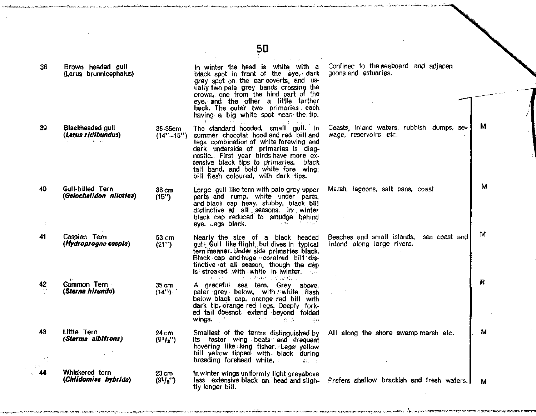|     |                                             |                          | 50                                                                                                                                                                                                                                                                                                                                                          |                                                                                    |   |
|-----|---------------------------------------------|--------------------------|-------------------------------------------------------------------------------------------------------------------------------------------------------------------------------------------------------------------------------------------------------------------------------------------------------------------------------------------------------------|------------------------------------------------------------------------------------|---|
| 38  | Brown headed gull<br>(Larus brunnicephalus) |                          | In winter the head is white with a<br>black spot in front of the eye, dark<br>grey spot on the ear coverts, and us-<br>ually two pale grey bands crossing the<br>crown, one from the hind part of the<br>eye, and the other a little farther<br>back. The outer two primaries each<br>having a big white spot near the tip.<br>$\alpha$ , $\beta$ , $\beta$ | Confined to the seaboard and adjacen<br>goons and estuaries.                       |   |
| 39. | Blackheaded gull<br>(Larus ridibundus)      | 35-35cm<br>$(14" - 15")$ | The standard hooded, small gull. In<br>summer chocolat hood and red bill and<br>legs combination of white forewing and<br>dark underside of primaries is diag-<br>nostic. First year birds have more ex-<br>tensive black tips to primaries, black<br>tail band, and bold white fore wing;<br>bill flesh coloured, with dark tips.                          | Coasts, inland waters, rubbish dumps, se-<br>wage, reservoirs etc.                 | м |
| 40  | Gull-billed Tern<br>(Gelochelidon nilotica) | 38 cm<br>(15")           | Large gull like tern with pale grey upper<br>parts and rump, white under parts,<br>and black cap heay, stubby, black bill<br>distinctive at all seasons, in winter<br>black cap reduced to smudge behind<br>eye. Legs black.<br><b>Controlled Avenue</b>                                                                                                    | Marsh, lagoons, salt pans, coast                                                   | м |
| 41  | Caspian Tern<br>(Hydroprogne caspia)        | 53 cm<br>(21")           | Nearly the size of a black headed<br>gulf Gull like flight, but dives in typical<br>tern manner. Under side primaries black.<br>Black cap and huge coralred bill dis-<br>tinctive at all season, though the cap<br>is streaked with white in winter.<br>get deep the production and agricultural                                                            | Beaches and small islands,<br>sea coast and<br>inland along large rivers.          | м |
| 42  | Common Tern<br>(Sterna hirundo)             | 35 cm<br>(14")           | A graceful sea tern. Grey above,<br>paler grey below, with white flash<br>below black cap, orange rad bill with<br>dark tip, orange red legs. Deeply fork-<br>ed tail doesnot extend beyond folded<br>wings. The same of the property of and-<br>وبالأب                                                                                                     |                                                                                    | R |
| 43. | Little Tern<br>(Sterma albifrons)           | 24 cm<br>$(9^{1}/2'')$   | Smallest of the terms distinguished by<br>its faster wing beats and frequent<br>hovering like king fisher. Legs yellow<br>bill yellow tipped with black during<br>breeding forehead white,<br>(一) 分解的 (分)                                                                                                                                                   | All along the shore swamp marsh etc.                                               | м |
| 44  | Whiskered tern<br>(Chlidomias hybrida)      | 23 cm<br>(91/2'')        | In winter wings uniformly light greyabove<br>tly longer bill.                                                                                                                                                                                                                                                                                               | lass extensive black on head and sligh. Prefers shallow brackish and fresh waters. | м |

יוריאליטוריקאיניאן איראקא<sub>טן</sub> א<del>ויינ</del>ואליקאיניאן אייפאריקאי

میں بارے کی اس میں کہا ہے کہ علاقہ کو اس کے اس میں میں کھیلتے ہیں۔ اس میں ساتھ میں اس کے اس میں اس میں اس میں<br>میں میں اس کے اس میں اس کے اس کے اس کے اس کے اس کا اس کے انتخاب کے اس میں ساتھ میں اس کے اس میں اس کے اس کے مط

\*•" ~- ^ ^

।<br>अन्युत्तम् अञ्चलस्य अस्य अस्तित्वास्य स्टब्स् स्टब्स् अस्ति । अस्य अस्ति अस्ति अस्ति अस्ति । अस्ति अस्ति अस्ति

أورا ورحول فالتفاع فلتفلط فالحراما كالمراجع والمتعاون والمستعادة

المحمد والأليب

وأدمانهم ومسكنة لأفرشت بالراز ليحمده

<u>บตรีทราชานิตินำทันไทยของอยู่ที่เกิดเดียวไทย เพร</u>

 $\sim$